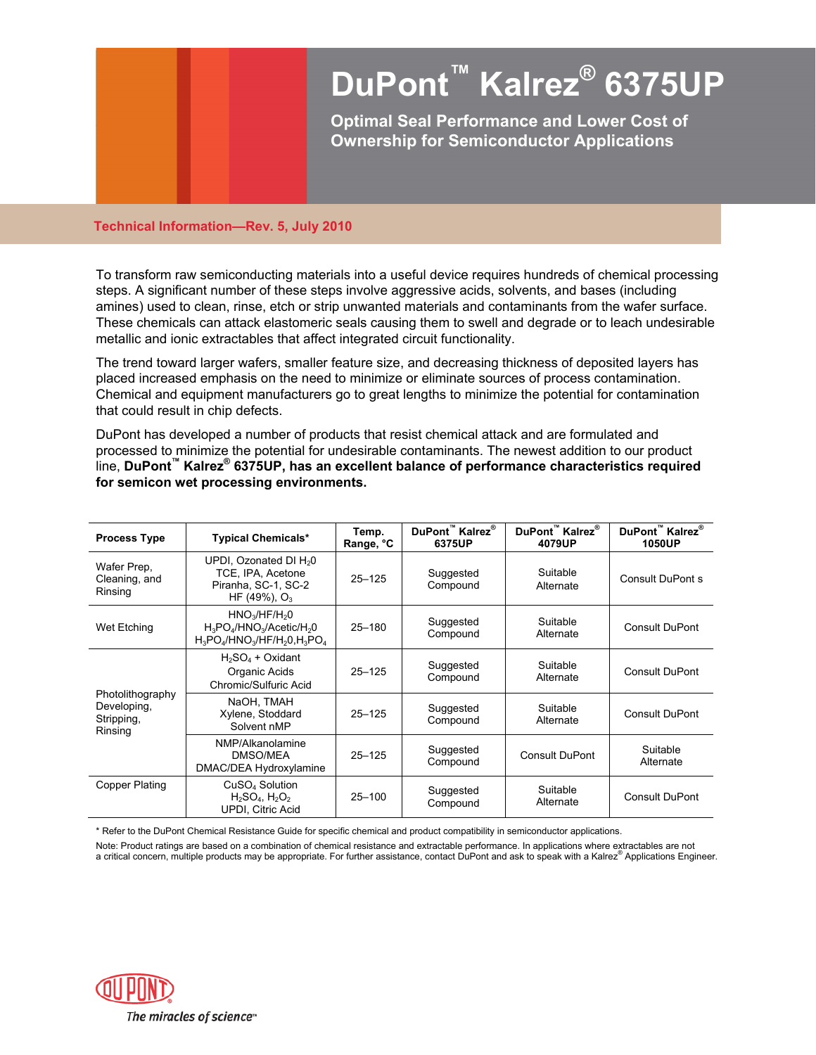# **DuPont™ Kalrez® 6375UP**

**Optimal Seal Performance and Lower Cost of Ownership for Semiconductor Applications** 

#### **Technical Information—Rev. 5, July 2010**

To transform raw semiconducting materials into a useful device requires hundreds of chemical processing steps. A significant number of these steps involve aggressive acids, solvents, and bases (including amines) used to clean, rinse, etch or strip unwanted materials and contaminants from the wafer surface. These chemicals can attack elastomeric seals causing them to swell and degrade or to leach undesirable metallic and ionic extractables that affect integrated circuit functionality.

The trend toward larger wafers, smaller feature size, and decreasing thickness of deposited layers has placed increased emphasis on the need to minimize or eliminate sources of process contamination. Chemical and equipment manufacturers go to great lengths to minimize the potential for contamination that could result in chip defects.

DuPont has developed a number of products that resist chemical attack and are formulated and processed to minimize the potential for undesirable contaminants. The newest addition to our product line, **DuPont™ Kalrez® 6375UP, has an excellent balance of performance characteristics required for semicon wet processing environments.**

| <b>Process Type</b>                                      | <b>Typical Chemicals*</b>                                                                                                                               | Temp.<br>Range, °C | DuPont™ Kalrez®<br>6375UP | DuPont™ Kalrez®<br>4079UP | DuPont™ Kalrez <sup>®</sup><br><b>1050UP</b> |
|----------------------------------------------------------|---------------------------------------------------------------------------------------------------------------------------------------------------------|--------------------|---------------------------|---------------------------|----------------------------------------------|
| Wafer Prep.<br>Cleaning, and<br>Rinsing                  | UPDI, Ozonated DI H <sub>2</sub> 0<br>TCE, IPA, Acetone<br>Piranha, SC-1, SC-2<br>HF (49%), $O_3$                                                       | $25 - 125$         | Suggested<br>Compound     | Suitable<br>Alternate     | <b>Consult DuPont s</b>                      |
| Wet Etching                                              | HNO <sub>3</sub> /HF/H <sub>2</sub> 0<br>$H_3PO_4/HNO_3/Acetic/H_2O$<br>$H_3PO_4$ /HNO <sub>3</sub> /HF/H <sub>2</sub> 0,H <sub>3</sub> PO <sub>4</sub> | $25 - 180$         | Suggested<br>Compound     | Suitable<br>Alternate     | Consult DuPont                               |
| Photolithography<br>Developing,<br>Stripping,<br>Rinsing | $H_2SO_4$ + Oxidant<br>Organic Acids<br>Chromic/Sulfuric Acid                                                                                           | $25 - 125$         | Suggested<br>Compound     | Suitable<br>Alternate     | <b>Consult DuPont</b>                        |
|                                                          | NaOH, TMAH<br>Xylene, Stoddard<br>Solvent nMP                                                                                                           | $25 - 125$         | Suggested<br>Compound     | Suitable<br>Alternate     | <b>Consult DuPont</b>                        |
|                                                          | NMP/Alkanolamine<br>DMSO/MEA<br>DMAC/DEA Hydroxylamine                                                                                                  | $25 - 125$         | Suggested<br>Compound     | <b>Consult DuPont</b>     | Suitable<br>Alternate                        |
| Copper Plating                                           | CuSO <sub>4</sub> Solution<br>$H_2SO_4$ , $H_2O_2$<br><b>UPDI, Citric Acid</b>                                                                          | $25 - 100$         | Suggested<br>Compound     | Suitable<br>Alternate     | <b>Consult DuPont</b>                        |

\* Refer to the DuPont Chemical Resistance Guide for specific chemical and product compatibility in semiconductor applications.

Note: Product ratings are based on a combination of chemical resistance and extractable performance. In applications where extractables are not a critical concern, multiple products may be appropriate. For further assistance, contact DuPont and ask to speak with a Kalrez® Applications Engineer.

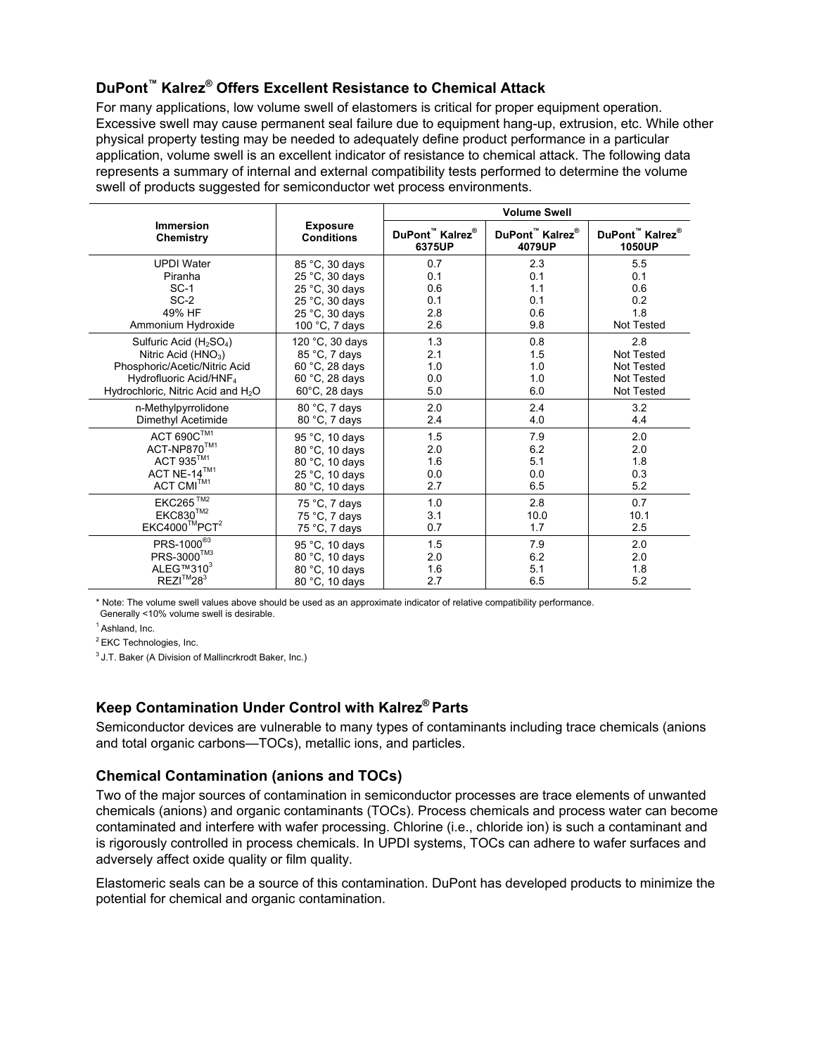# **DuPont™ Kalrez® Offers Excellent Resistance to Chemical Attack**

For many applications, low volume swell of elastomers is critical for proper equipment operation. Excessive swell may cause permanent seal failure due to equipment hang-up, extrusion, etc. While other physical property testing may be needed to adequately define product performance in a particular application, volume swell is an excellent indicator of resistance to chemical attack. The following data represents a summary of internal and external compatibility tests performed to determine the volume swell of products suggested for semiconductor wet process environments.

|                                                 |                         | <b>Volume Swell</b>                     |                                         |                             |  |
|-------------------------------------------------|-------------------------|-----------------------------------------|-----------------------------------------|-----------------------------|--|
| <b>Immersion</b>                                | <b>Exposure</b>         | DuPont <sup>™</sup> Kalrez <sup>®</sup> | DuPont <sup>™</sup> Kalrez <sup>®</sup> | DuPont™ Kalrez <sup>®</sup> |  |
| Chemistry                                       | <b>Conditions</b>       | 6375UP                                  | 4079UP                                  | 1050UP                      |  |
| <b>UPDI Water</b>                               | 85 °C, 30 days          | 0.7                                     | 2.3                                     | 5.5                         |  |
| Piranha                                         | 25 °C, 30 days          | 0.1                                     | 0.1                                     | 0.1                         |  |
| $SC-1$                                          | 25 °C, 30 days          | 0.6                                     | 1.1                                     | 0.6                         |  |
| $SC-2$                                          | 25 °C, 30 days          | 0.1                                     | 0.1                                     | 0.2                         |  |
| 49% HF                                          | 25 °C, 30 days          | 2.8                                     | 0.6                                     | 1.8                         |  |
| Ammonium Hydroxide                              | 100 $°C$ , 7 days       | 2.6                                     | 9.8                                     | Not Tested                  |  |
| Sulfuric Acid (H <sub>2</sub> SO <sub>4</sub> ) | 120 °C, 30 days         | 1.3                                     | 0.8                                     | 2.8                         |  |
| Nitric Acid $(HNO3)$                            | 85 °C, 7 days           | 2.1                                     | 1.5                                     | <b>Not Tested</b>           |  |
| Phosphoric/Acetic/Nitric Acid                   | 60 °C, 28 days          | 1.0                                     | 1.0                                     | <b>Not Tested</b>           |  |
| Hydrofluoric Acid/HNF <sub>4</sub>              | 60 °C, 28 days          | 0.0                                     | 1.0                                     | <b>Not Tested</b>           |  |
| Hydrochloric, Nitric Acid and H <sub>2</sub> O  | $60^{\circ}$ C, 28 days | 5.0                                     | 6.0                                     | <b>Not Tested</b>           |  |
| n-Methylpyrrolidone                             | 80 °C, 7 days           | 2.0                                     | 2.4                                     | 3.2                         |  |
| Dimethyl Acetimide                              | 80 °C, 7 days           | 2.4                                     | 4.0                                     | 4.4                         |  |
| $\mathsf{ACT}\ 690\mathsf{C}^{\mathsf{TM1}}$    | 95 °C, 10 days          | 1.5                                     | 7.9                                     | 2.0                         |  |
| ACT-NP870™1                                     | 80 °C, 10 days          | 2.0                                     | 6.2                                     | 2.0                         |  |
| ACT 935™1                                       | 80 °C, 10 days          | 1.6                                     | 5.1                                     | 1.8                         |  |
| ACT NE-14 $^{TM1}$                              | 25 °C, 10 days          | 0.0                                     | 0.0                                     | 0.3                         |  |
| $ACT$ $CMI^{TM1}$                               | 80 °C, 10 days          | 2.7                                     | 6.5                                     | 5.2                         |  |
| $EKC265$ <sup>TM2</sup>                         | 75 °C, 7 days           | 1.0                                     | 2.8                                     | 0.7                         |  |
| EKC830™2                                        | 75 °C, 7 days           | 3.1                                     | 10.0                                    | 10.1                        |  |
| $EKC4000$ <sup>™</sup> PCT <sup>2</sup>         | 75 °C, 7 days           | 0.7                                     | 1.7                                     | 2.5                         |  |
| PRS-1000 <sup>®3</sup>                          | 95 °C, 10 days          | 1.5                                     | 7.9                                     | 2.0                         |  |
| PRS-3000™3                                      | 80 °C, 10 days          | 2.0                                     | 6.2                                     | 2.0                         |  |
| ALEG™310 <sup>3</sup>                           | 80 °C, 10 days          | 1.6                                     | 5.1                                     | 1.8                         |  |
| $REZI^{TM}28^3$                                 | 80 °C, 10 days          | 2.7                                     | 6.5                                     | 5.2                         |  |

\* Note: The volume swell values above should be used as an approximate indicator of relative compatibility performance. Generally <10% volume swell is desirable.

 $<sup>1</sup>$  Ashland, Inc.</sup>

<sup>2</sup> EKC Technologies, Inc.

<sup>3</sup> J.T. Baker (A Division of Mallincrkrodt Baker, Inc.)

## **Keep Contamination Under Control with Kalrez® Parts**

Semiconductor devices are vulnerable to many types of contaminants including trace chemicals (anions and total organic carbons—TOCs), metallic ions, and particles.

## **Chemical Contamination (anions and TOCs)**

Two of the major sources of contamination in semiconductor processes are trace elements of unwanted chemicals (anions) and organic contaminants (TOCs). Process chemicals and process water can become contaminated and interfere with wafer processing. Chlorine (i.e., chloride ion) is such a contaminant and is rigorously controlled in process chemicals. In UPDI systems, TOCs can adhere to wafer surfaces and adversely affect oxide quality or film quality.

Elastomeric seals can be a source of this contamination. DuPont has developed products to minimize the potential for chemical and organic contamination.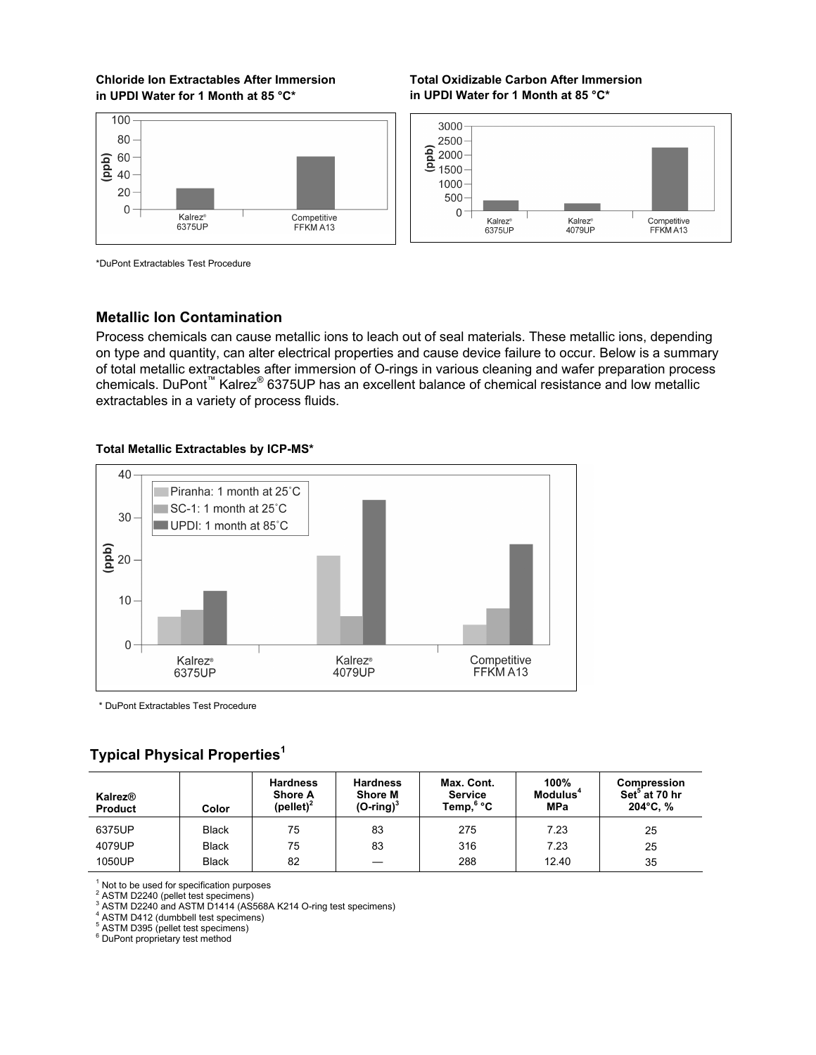## **Chloride Ion Extractables After Immersion in UPDI Water for 1 Month at 85 °C\***



**Total Oxidizable Carbon After Immersion in UPDI Water for 1 Month at 85 °C\*** 



\*DuPont Extractables Test Procedure

## **Metallic Ion Contamination**

Process chemicals can cause metallic ions to leach out of seal materials. These metallic ions, depending on type and quantity, can alter electrical properties and cause device failure to occur. Below is a summary of total metallic extractables after immersion of O-rings in various cleaning and wafer preparation process chemicals. DuPont<sup>™</sup> Kalrez<sup>®</sup> 6375UP has an excellent balance of chemical resistance and low metallic extractables in a variety of process fluids.

#### **Total Metallic Extractables by ICP-MS\***



\* DuPont Extractables Test Procedure

# **Typical Physical Properties<sup>1</sup>**

| Kalrez <sup>®</sup><br><b>Product</b> | Color        | <b>Hardness</b><br><b>Shore A</b><br>(pellet) <sup>2</sup> | <b>Hardness</b><br><b>Shore M</b><br>$(O\text{-ring})^3$ | Max. Cont.<br><b>Service</b><br>Temp, <sup>6</sup> °C | 100%<br>Modulus <sup>4</sup><br><b>MPa</b> | Compression<br>Set <sup>3</sup> at 70 hr<br>$204^{\circ}$ C, % |
|---------------------------------------|--------------|------------------------------------------------------------|----------------------------------------------------------|-------------------------------------------------------|--------------------------------------------|----------------------------------------------------------------|
| 6375UP                                | <b>Black</b> | 75                                                         | 83                                                       | 275                                                   | 7.23                                       | 25                                                             |
| 4079UP                                | <b>Black</b> | 75                                                         | 83                                                       | 316                                                   | 7.23                                       | 25                                                             |
| 1050UP                                | <b>Black</b> | 82                                                         |                                                          | 288                                                   | 12.40                                      | 35                                                             |

 $1$  Not to be used for specification purposes

2 ASTM D2240 (pellet test specimens)

<sup>3</sup> ASTM D2240 and ASTM D1414 (AS568A K214 O-ring test specimens)

4 ASTM D412 (dumbbell test specimens)

5 ASTM D395 (pellet test specimens) 6 DuPont proprietary test method